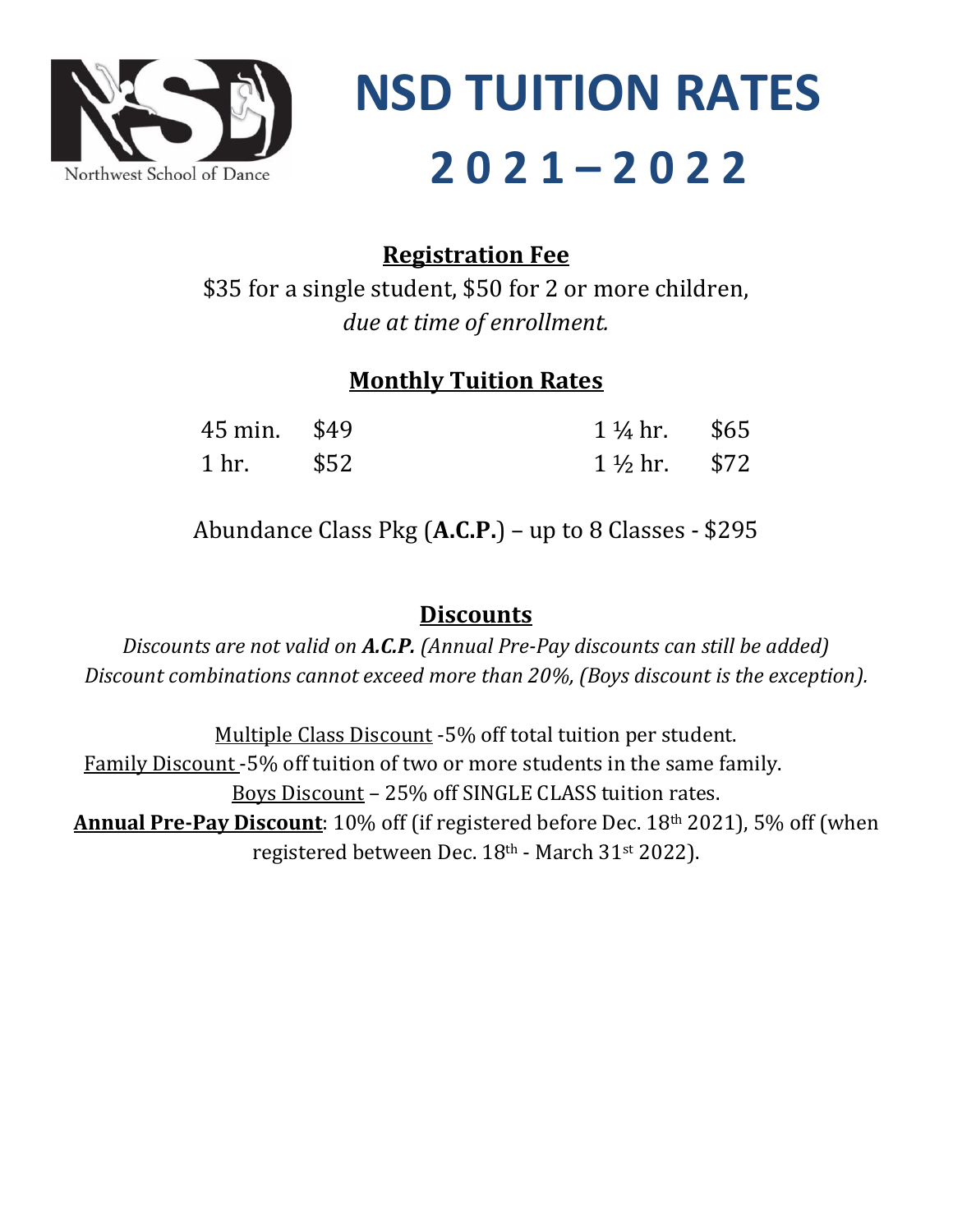

**NSD TUITION RATES 2 0 2 1 – 2 0 2 2**

### **Registration Fee**

\$35 for a single student, \$50 for 2 or more children, *due at time of enrollment.*

#### **Monthly Tuition Rates**

| 45 min. \$49         | $1\frac{1}{4}$ hr. \$65 |  |
|----------------------|-------------------------|--|
| $1 \text{ hr.}$ \$52 | $1\frac{1}{2}$ hr. \$72 |  |

Abundance Class Pkg (**A.C.P.**) – up to 8 Classes - \$295

#### **Discounts**

*Discounts are not valid on A.C.P. (Annual Pre-Pay discounts can still be added) Discount combinations cannot exceed more than 20%, (Boys discount is the exception).*

Multiple Class Discount -5% off total tuition per student. Family Discount -5% off tuition of two or more students in the same family. Boys Discount – 25% off SINGLE CLASS tuition rates. **Annual Pre-Pay Discount**: 10% off (if registered before Dec. 18th 2021), 5% off (when registered between Dec. 18th - March 31st 2022).